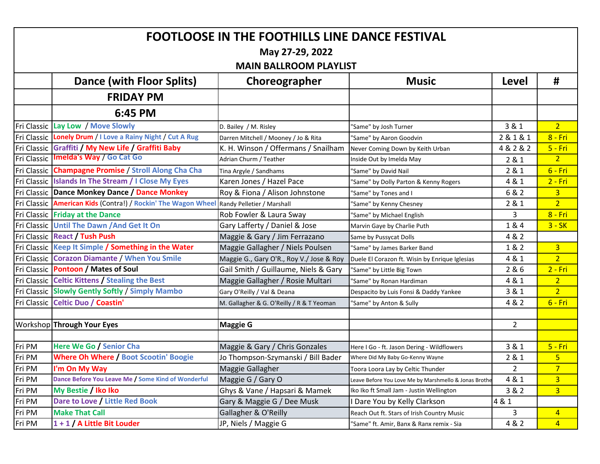| <b>FOOTLOOSE IN THE FOOTHILLS LINE DANCE FESTIVAL</b> |                                                                                          |                                           |                                                       |                |                 |  |  |  |  |  |
|-------------------------------------------------------|------------------------------------------------------------------------------------------|-------------------------------------------|-------------------------------------------------------|----------------|-----------------|--|--|--|--|--|
| May 27-29, 2022                                       |                                                                                          |                                           |                                                       |                |                 |  |  |  |  |  |
| <b>MAIN BALLROOM PLAYLIST</b>                         |                                                                                          |                                           |                                                       |                |                 |  |  |  |  |  |
|                                                       | <b>Dance (with Floor Splits)</b>                                                         | Choreographer                             | <b>Music</b>                                          | Level          | #               |  |  |  |  |  |
|                                                       | <b>FRIDAY PM</b>                                                                         |                                           |                                                       |                |                 |  |  |  |  |  |
|                                                       | 6:45 PM                                                                                  |                                           |                                                       |                |                 |  |  |  |  |  |
|                                                       | Fri Classic Lay Low / Move Slowly                                                        | D. Bailey / M. Risley                     | 'Same" by Josh Turner                                 | 3 & 1          | 2 <sup>1</sup>  |  |  |  |  |  |
|                                                       | Fri Classic Lonely Drum / I Love a Rainy Night / Cut A Rug                               | Darren Mitchell / Mooney / Jo & Rita      | 'Same" by Aaron Goodvin                               | 2 & 1 & 1      | $8 - Fri$       |  |  |  |  |  |
|                                                       | Fri Classic Graffiti / My New Life / Graffiti Baby                                       | K. H. Winson / Offermans / Snailham       | Never Coming Down by Keith Urban                      | 4 & 2 & 2      | <b>5 - Fri</b>  |  |  |  |  |  |
|                                                       | Fri Classic   Imelda's Way / Go Cat Go                                                   | Adrian Churm / Teather                    | Inside Out by Imelda May                              | 2 & 1          | 2 <sub>1</sub>  |  |  |  |  |  |
|                                                       | Fri Classic Champagne Promise / Stroll Along Cha Cha                                     | Tina Argyle / Sandhams                    | 'Same" by David Nail                                  | 2 & 1          | $6 - Fri$       |  |  |  |  |  |
|                                                       | Fri Classic Islands In The Stream / I Close My Eyes                                      | Karen Jones / Hazel Pace                  | 'Same" by Dolly Parton & Kenny Rogers                 | 4 & 1          | $2 - Fri$       |  |  |  |  |  |
|                                                       | Fri Classic Dance Monkey Dance / Dance Monkey                                            | Roy & Fiona / Alison Johnstone            | 'Same" by Tones and I                                 | 6 & 2          | 3 <sup>1</sup>  |  |  |  |  |  |
|                                                       | Fri Classic American Kids (Contra!) / Rockin' The Wagon Wheel Randy Pelletier / Marshall |                                           | 'Same" by Kenny Chesney                               | 2 & 1          | 2 <sup>1</sup>  |  |  |  |  |  |
|                                                       | Fri Classic Friday at the Dance                                                          | Rob Fowler & Laura Sway                   | 'Same" by Michael English                             | 3              | $8 - Fri$       |  |  |  |  |  |
|                                                       | Fri Classic Until The Dawn / And Get It On                                               | Gary Lafferty / Daniel & Jose             | Marvin Gaye by Charlie Puth                           | 1 & 4          | $3 - SK$        |  |  |  |  |  |
|                                                       | Fri Classic React / Tush Push                                                            | Maggie & Gary / Jim Ferrazano             | Same by Pussycat Dolls                                | 4 & 2          |                 |  |  |  |  |  |
|                                                       | Fri Classic Keep It Simple / Something in the Water                                      | Maggie Gallagher / Niels Poulsen          | "Same" by James Barker Band                           | 1 & 2          | 3 <sup>1</sup>  |  |  |  |  |  |
|                                                       | Fri Classic Corazon Diamante / When You Smile                                            | Maggie G., Gary O'R., Roy V./ Jose & Roy  | Duele El Corazon ft. Wisin by Enrique Iglesias        | 4 & 1          | $\overline{2}$  |  |  |  |  |  |
|                                                       | Fri Classic Pontoon / Mates of Soul                                                      | Gail Smith / Guillaume, Niels & Gary      | 'Same" by Little Big Town                             | 2 & 6          | $2 - Fri$       |  |  |  |  |  |
|                                                       | Fri Classic Celtic Kittens / Stealing the Best                                           | Maggie Gallagher / Rosie Multari          | 'Same" by Ronan Hardiman                              | 4 & 1          | 2 <sup>1</sup>  |  |  |  |  |  |
|                                                       | Fri Classic Slowly Gently Softly / Simply Mambo                                          | Gary O'Reilly / Val & Deana               | Despacito by Luis Fonsi & Daddy Yankee                | 3 & 1          | 2 <sup>1</sup>  |  |  |  |  |  |
|                                                       | Fri Classic Celtic Duo / Coastin'                                                        | M. Gallagher & G. O'Reilly / R & T Yeoman | 'Same" by Anton & Sully                               | 4 & 2          | $6 - Fri$       |  |  |  |  |  |
|                                                       |                                                                                          |                                           |                                                       |                |                 |  |  |  |  |  |
|                                                       | Workshop Through Your Eyes                                                               | <b>Maggie G</b>                           |                                                       | $\overline{2}$ |                 |  |  |  |  |  |
|                                                       |                                                                                          |                                           |                                                       |                |                 |  |  |  |  |  |
| Fri PM                                                | Here We Go / Senior Cha                                                                  | Maggie & Gary / Chris Gonzales            | Here I Go - ft. Jason Dering - Wildflowers            | 3 & 1          | $5 - Fri$       |  |  |  |  |  |
| Fri PM                                                | <b>Where Oh Where / Boot Scootin' Boogie</b>                                             | Jo Thompson-Szymanski / Bill Bader        | Where Did My Baby Go-Kenny Wayne                      | 2 & 1          | 5 <sub>1</sub>  |  |  |  |  |  |
| [Fri PM                                               | I'm On My Way                                                                            | Maggie Gallagher                          | Toora Loora Lay by Celtic Thunder                     | 2              |                 |  |  |  |  |  |
| Fri PM                                                | Dance Before You Leave Me / Some Kind of Wonderful                                       | Maggie G / Gary O                         | Leave Before You Love Me by Marshmello & Jonas Brothe | 4 & 1          | $\overline{3}$  |  |  |  |  |  |
| Fri PM                                                | My Bestie / Iko Iko                                                                      | Ghys & Vane / Hapsari & Mamek             | Iko Iko ft Small Jam - Justin Wellington              | 3 & 2          | 3 <sup>2</sup>  |  |  |  |  |  |
| Fri PM                                                | Dare to Love / Little Red Book                                                           | Gary & Maggie G / Dee Musk                | I Dare You by Kelly Clarkson                          | 4 & 1          |                 |  |  |  |  |  |
| Fri PM                                                | <b>Make That Call</b>                                                                    | Gallagher & O'Reilly                      | Reach Out ft. Stars of Irish Country Music            | 3              | $\overline{4}$  |  |  |  |  |  |
| Fri PM                                                | 1+1 / A Little Bit Louder                                                                | JP, Niels / Maggie G                      | 'Same" ft. Amir, Banx & Ranx remix - Sia              | 4 & 2          | $\vert 4 \vert$ |  |  |  |  |  |